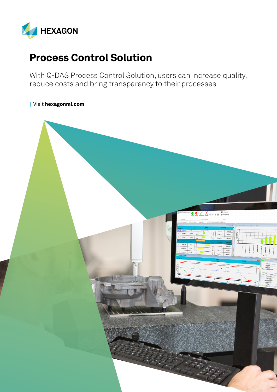

## Process Control Solution

With Q-DAS Process Control Solution, users can increase quality, reduce costs and bring transparency to their processes

| Visit [hexagonmi.com](https://www.hexagonmi.com/)